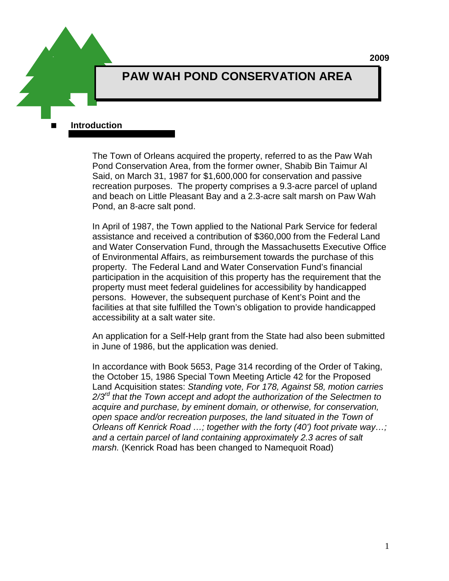**2009**

# **PAW WAH POND CONSERVATION AREA**

 **Introduction** 

The Town of Orleans acquired the property, referred to as the Paw Wah Pond Conservation Area, from the former owner, Shabib Bin Taimur Al Said, on March 31, 1987 for \$1,600,000 for conservation and passive recreation purposes. The property comprises a 9.3-acre parcel of upland and beach on Little Pleasant Bay and a 2.3-acre salt marsh on Paw Wah Pond, an 8-acre salt pond.

In April of 1987, the Town applied to the National Park Service for federal assistance and received a contribution of \$360,000 from the Federal Land and Water Conservation Fund, through the Massachusetts Executive Office of Environmental Affairs, as reimbursement towards the purchase of this property. The Federal Land and Water Conservation Fund's financial participation in the acquisition of this property has the requirement that the property must meet federal guidelines for accessibility by handicapped persons. However, the subsequent purchase of Kent's Point and the facilities at that site fulfilled the Town's obligation to provide handicapped accessibility at a salt water site.

An application for a Self-Help grant from the State had also been submitted in June of 1986, but the application was denied.

In accordance with Book 5653, Page 314 recording of the Order of Taking, the October 15, 1986 Special Town Meeting Article 42 for the Proposed Land Acquisition states: *Standing vote, For 178, Against 58, motion carries 2/3rd that the Town accept and adopt the authorization of the Selectmen to acquire and purchase, by eminent domain, or otherwise, for conservation, open space and/or recreation purposes, the land situated in the Town of Orleans off Kenrick Road …; together with the forty (40') foot private way…; and a certain parcel of land containing approximately 2.3 acres of salt marsh.* (Kenrick Road has been changed to Namequoit Road)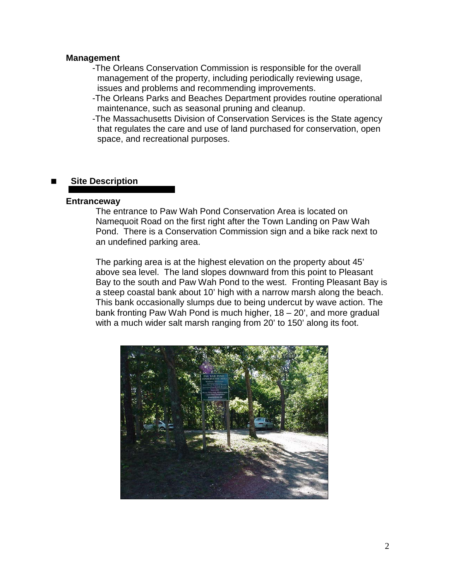#### **Management**

- -The Orleans Conservation Commission is responsible for the overall management of the property, including periodically reviewing usage, issues and problems and recommending improvements.
- -The Orleans Parks and Beaches Department provides routine operational maintenance, such as seasonal pruning and cleanup.
- -The Massachusetts Division of Conservation Services is the State agency that regulates the care and use of land purchased for conservation, open space, and recreational purposes.

#### **Site Description**

#### **Entranceway**

The entrance to Paw Wah Pond Conservation Area is located on Namequoit Road on the first right after the Town Landing on Paw Wah Pond. There is a Conservation Commission sign and a bike rack next to an undefined parking area.

The parking area is at the highest elevation on the property about 45' above sea level. The land slopes downward from this point to Pleasant Bay to the south and Paw Wah Pond to the west. Fronting Pleasant Bay is a steep coastal bank about 10' high with a narrow marsh along the beach. This bank occasionally slumps due to being undercut by wave action. The bank fronting Paw Wah Pond is much higher, 18 – 20', and more gradual with a much wider salt marsh ranging from 20' to 150' along its foot.

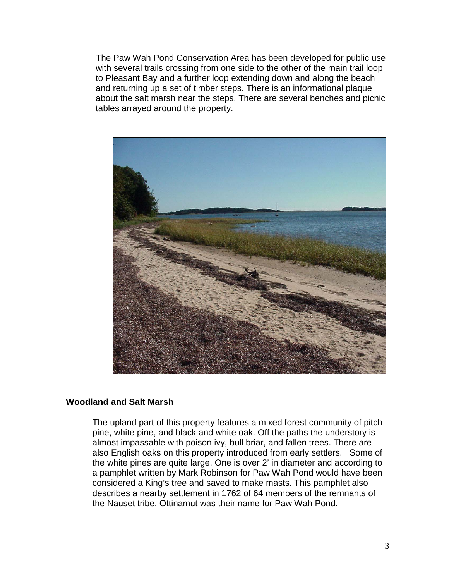The Paw Wah Pond Conservation Area has been developed for public use with several trails crossing from one side to the other of the main trail loop to Pleasant Bay and a further loop extending down and along the beach and returning up a set of timber steps. There is an informational plaque about the salt marsh near the steps. There are several benches and picnic tables arrayed around the property.



#### **Woodland and Salt Marsh**

The upland part of this property features a mixed forest community of pitch pine, white pine, and black and white oak. Off the paths the understory is almost impassable with poison ivy, bull briar, and fallen trees. There are also English oaks on this property introduced from early settlers. Some of the white pines are quite large. One is over 2' in diameter and according to a pamphlet written by Mark Robinson for Paw Wah Pond would have been considered a King's tree and saved to make masts. This pamphlet also describes a nearby settlement in 1762 of 64 members of the remnants of the Nauset tribe. Ottinamut was their name for Paw Wah Pond.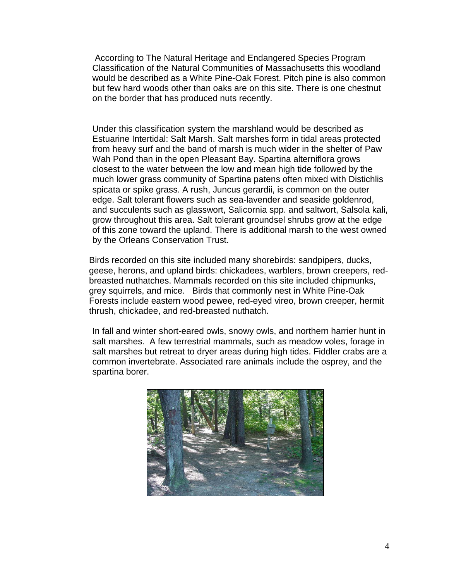According to The Natural Heritage and Endangered Species Program Classification of the Natural Communities of Massachusetts this woodland would be described as a White Pine-Oak Forest. Pitch pine is also common but few hard woods other than oaks are on this site. There is one chestnut on the border that has produced nuts recently.

Under this classification system the marshland would be described as Estuarine Intertidal: Salt Marsh. Salt marshes form in tidal areas protected from heavy surf and the band of marsh is much wider in the shelter of Paw Wah Pond than in the open Pleasant Bay. Spartina alterniflora grows closest to the water between the low and mean high tide followed by the much lower grass community of Spartina patens often mixed with Distichlis spicata or spike grass. A rush, Juncus gerardii, is common on the outer edge. Salt tolerant flowers such as sea-lavender and seaside goldenrod, and succulents such as glasswort, Salicornia spp. and saltwort, Salsola kali, grow throughout this area. Salt tolerant groundsel shrubs grow at the edge of this zone toward the upland. There is additional marsh to the west owned by the Orleans Conservation Trust.

Birds recorded on this site included many shorebirds: sandpipers, ducks, geese, herons, and upland birds: chickadees, warblers, brown creepers, redbreasted nuthatches. Mammals recorded on this site included chipmunks, grey squirrels, and mice. Birds that commonly nest in White Pine-Oak Forests include eastern wood pewee, red-eyed vireo, brown creeper, hermit thrush, chickadee, and red-breasted nuthatch.

In fall and winter short-eared owls, snowy owls, and northern harrier hunt in salt marshes. A few terrestrial mammals, such as meadow voles, forage in salt marshes but retreat to dryer areas during high tides. Fiddler crabs are a common invertebrate. Associated rare animals include the osprey, and the spartina borer.